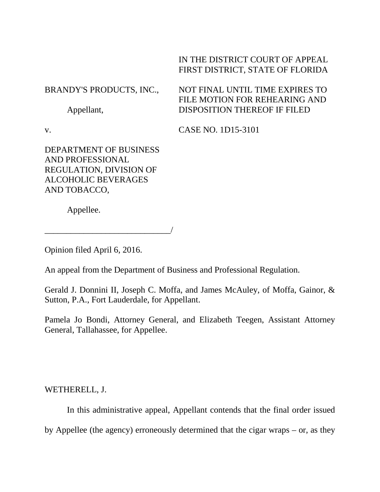## IN THE DISTRICT COURT OF APPEAL FIRST DISTRICT, STATE OF FLORIDA

## BRANDY'S PRODUCTS, INC., Appellant, NOT FINAL UNTIL TIME EXPIRES TO FILE MOTION FOR REHEARING AND DISPOSITION THEREOF IF FILED

v.

CASE NO. 1D15-3101

DEPARTMENT OF BUSINESS AND PROFESSIONAL REGULATION, DIVISION OF ALCOHOLIC BEVERAGES AND TOBACCO,

\_\_\_\_\_\_\_\_\_\_\_\_\_\_\_\_\_\_\_\_\_\_\_\_\_\_\_\_\_/

Appellee.

Opinion filed April 6, 2016.

An appeal from the Department of Business and Professional Regulation.

Gerald J. Donnini II, Joseph C. Moffa, and James McAuley, of Moffa, Gainor, & Sutton, P.A., Fort Lauderdale, for Appellant.

Pamela Jo Bondi, Attorney General, and Elizabeth Teegen, Assistant Attorney General, Tallahassee, for Appellee.

WETHERELL, J.

In this administrative appeal, Appellant contends that the final order issued by Appellee (the agency) erroneously determined that the cigar wraps – or, as they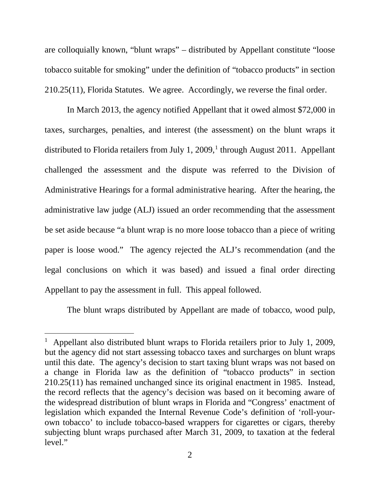are colloquially known, "blunt wraps" – distributed by Appellant constitute "loose tobacco suitable for smoking" under the definition of "tobacco products" in section 210.25(11), Florida Statutes. We agree. Accordingly, we reverse the final order.

In March 2013, the agency notified Appellant that it owed almost \$72,000 in taxes, surcharges, penalties, and interest (the assessment) on the blunt wraps it distributed to Florida retailers from July [1](#page-1-0), 2009,<sup>1</sup> through August 2011. Appellant challenged the assessment and the dispute was referred to the Division of Administrative Hearings for a formal administrative hearing. After the hearing, the administrative law judge (ALJ) issued an order recommending that the assessment be set aside because "a blunt wrap is no more loose tobacco than a piece of writing paper is loose wood." The agency rejected the ALJ's recommendation (and the legal conclusions on which it was based) and issued a final order directing Appellant to pay the assessment in full. This appeal followed.

The blunt wraps distributed by Appellant are made of tobacco, wood pulp,

ī

<span id="page-1-0"></span><sup>&</sup>lt;sup>1</sup> Appellant also distributed blunt wraps to Florida retailers prior to July 1, 2009, but the agency did not start assessing tobacco taxes and surcharges on blunt wraps until this date. The agency's decision to start taxing blunt wraps was not based on a change in Florida law as the definition of "tobacco products" in section 210.25(11) has remained unchanged since its original enactment in 1985. Instead, the record reflects that the agency's decision was based on it becoming aware of the widespread distribution of blunt wraps in Florida and "Congress' enactment of legislation which expanded the Internal Revenue Code's definition of 'roll-yourown tobacco' to include tobacco-based wrappers for cigarettes or cigars, thereby subjecting blunt wraps purchased after March 31, 2009, to taxation at the federal level."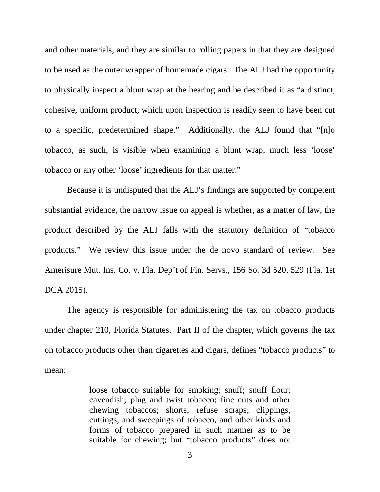and other materials, and they are similar to rolling papers in that they are designed to be used as the outer wrapper of homemade cigars. The ALJ had the opportunity to physically inspect a blunt wrap at the hearing and he described it as "a distinct, cohesive, uniform product, which upon inspection is readily seen to have been cut to a specific, predetermined shape." Additionally, the ALJ found that "[n]o tobacco, as such, is visible when examining a blunt wrap, much less 'loose' tobacco or any other 'loose' ingredients for that matter."

Because it is undisputed that the ALJ's findings are supported by competent substantial evidence, the narrow issue on appeal is whether, as a matter of law, the product described by the ALJ falls with the statutory definition of "tobacco products." We review this issue under the de novo standard of review. See Amerisure Mut. Ins. Co. v. Fla. Dep't of Fin. Servs., 156 So. 3d 520, 529 (Fla. 1st DCA 2015).

The agency is responsible for administering the tax on tobacco products under chapter 210, Florida Statutes. Part II of the chapter, which governs the tax on tobacco products other than cigarettes and cigars, defines "tobacco products" to mean:

> loose tobacco suitable for smoking; snuff; snuff flour; cavendish; plug and twist tobacco; fine cuts and other chewing tobaccos; shorts; refuse scraps; clippings, cuttings, and sweepings of tobacco, and other kinds and forms of tobacco prepared in such manner as to be suitable for chewing; but "tobacco products" does not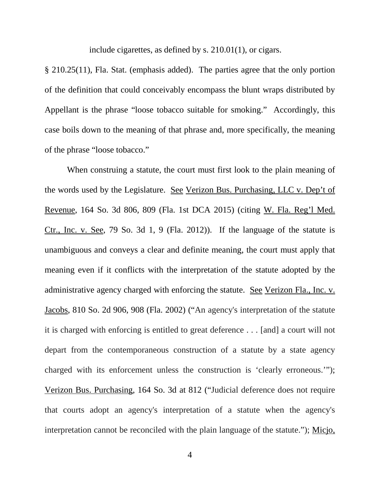include cigarettes, as defined by s. 210.01(1), or cigars.

§ 210.25(11), Fla. Stat. (emphasis added). The parties agree that the only portion of the definition that could conceivably encompass the blunt wraps distributed by Appellant is the phrase "loose tobacco suitable for smoking." Accordingly, this case boils down to the meaning of that phrase and, more specifically, the meaning of the phrase "loose tobacco."

When construing a statute, the court must first look to the plain meaning of the words used by the Legislature. See Verizon Bus. Purchasing, LLC v. Dep't of Revenue, 164 So. 3d 806, 809 (Fla. 1st DCA 2015) (citing W. Fla. Reg'l Med. Ctr., Inc. v. See, 79 So. 3d 1, 9 (Fla. 2012)). If the language of the statute is unambiguous and conveys a clear and definite meaning, the court must apply that meaning even if it conflicts with the interpretation of the statute adopted by the administrative agency charged with enforcing the statute. See Verizon Fla., Inc. v. Jacobs, 810 So. 2d 906, 908 (Fla. 2002) ("An agency's interpretation of the statute it is charged with enforcing is entitled to great deference . . . [and] a court will not depart from the contemporaneous construction of a statute by a state agency charged with its enforcement unless the construction is 'clearly erroneous.'"); Verizon Bus. Purchasing, 164 So. 3d at 812 ("Judicial deference does not require that courts adopt an agency's interpretation of a statute when the agency's interpretation cannot be reconciled with the plain language of the statute."); Micjo,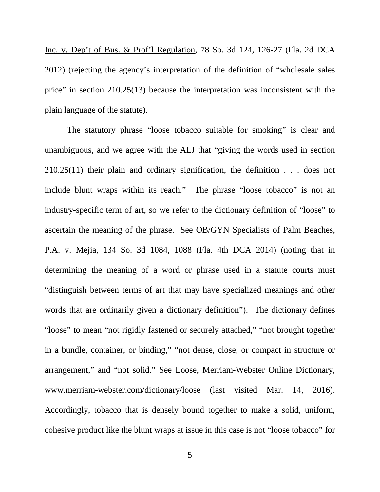Inc. v. Dep't of Bus. & Prof'l Regulation, 78 So. 3d 124, 126-27 (Fla. 2d DCA 2012) (rejecting the agency's interpretation of the definition of "wholesale sales price" in section 210.25(13) because the interpretation was inconsistent with the plain language of the statute).

The statutory phrase "loose tobacco suitable for smoking" is clear and unambiguous, and we agree with the ALJ that "giving the words used in section 210.25(11) their plain and ordinary signification, the definition . . . does not include blunt wraps within its reach." The phrase "loose tobacco" is not an industry-specific term of art, so we refer to the dictionary definition of "loose" to ascertain the meaning of the phrase. See OB/GYN Specialists of Palm Beaches, P.A. v. Mejia, 134 So. 3d 1084, 1088 (Fla. 4th DCA 2014) (noting that in determining the meaning of a word or phrase used in a statute courts must "distinguish between terms of art that may have specialized meanings and other words that are ordinarily given a dictionary definition"). The dictionary defines "loose" to mean "not rigidly fastened or securely attached," "not brought together in a bundle, container, or binding," "not dense, close, or compact in structure or arrangement," and "not solid." See Loose, Merriam-Webster Online Dictionary, www.merriam-webster.com/dictionary/loose (last visited Mar. 14, 2016). Accordingly, tobacco that is densely bound together to make a solid, uniform, cohesive product like the blunt wraps at issue in this case is not "loose tobacco" for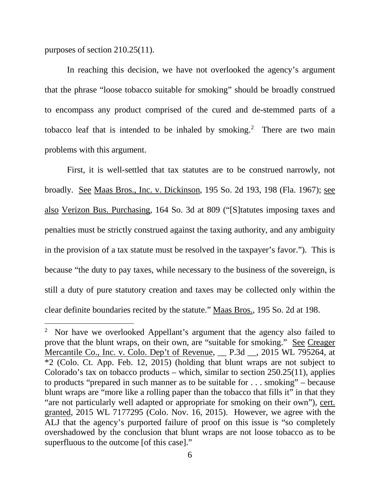purposes of section 210.25(11).

ī

In reaching this decision, we have not overlooked the agency's argument that the phrase "loose tobacco suitable for smoking" should be broadly construed to encompass any product comprised of the cured and de-stemmed parts of a tobacco leaf that is intended to be inhaled by smoking.<sup>[2](#page-5-0)</sup> There are two main problems with this argument.

First, it is well-settled that tax statutes are to be construed narrowly, not broadly. See Maas Bros., Inc. v. Dickinson, 195 So. 2d 193, 198 (Fla. 1967); see also Verizon Bus. Purchasing, 164 So. 3d at 809 ("[S]tatutes imposing taxes and penalties must be strictly construed against the taxing authority, and any ambiguity in the provision of a tax statute must be resolved in the taxpayer's favor."). This is because "the duty to pay taxes, while necessary to the business of the sovereign, is still a duty of pure statutory creation and taxes may be collected only within the clear definite boundaries recited by the statute." Maas Bros., 195 So. 2d at 198.

<span id="page-5-0"></span><sup>&</sup>lt;sup>2</sup> Nor have we overlooked Appellant's argument that the agency also failed to prove that the blunt wraps, on their own, are "suitable for smoking." See Creager Mercantile Co., Inc. v. Colo. Dep't of Revenue, \_\_ P.3d \_\_, 2015 WL 795264, at \*2 (Colo. Ct. App. Feb. 12, 2015) (holding that blunt wraps are not subject to Colorado's tax on tobacco products – which, similar to section 250.25(11), applies to products "prepared in such manner as to be suitable for . . . smoking" – because blunt wraps are "more like a rolling paper than the tobacco that fills it" in that they "are not particularly well adapted or appropriate for smoking on their own"), cert. granted, 2015 WL 7177295 (Colo. Nov. 16, 2015). However, we agree with the ALJ that the agency's purported failure of proof on this issue is "so completely overshadowed by the conclusion that blunt wraps are not loose tobacco as to be superfluous to the outcome [of this case]."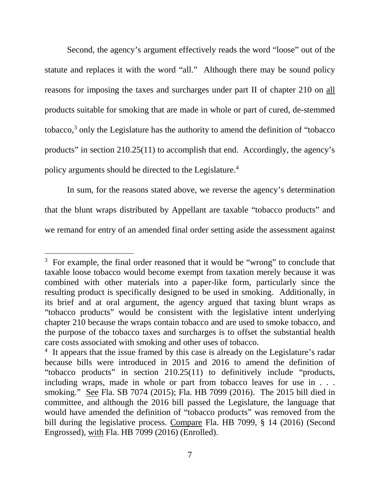Second, the agency's argument effectively reads the word "loose" out of the statute and replaces it with the word "all." Although there may be sound policy reasons for imposing the taxes and surcharges under part II of chapter 210 on all products suitable for smoking that are made in whole or part of cured, de-stemmed tobacco,[3](#page-6-0) only the Legislature has the authority to amend the definition of "tobacco products" in section 210.25(11) to accomplish that end. Accordingly, the agency's policy arguments should be directed to the Legislature. [4](#page-6-1)

In sum, for the reasons stated above, we reverse the agency's determination that the blunt wraps distributed by Appellant are taxable "tobacco products" and we remand for entry of an amended final order setting aside the assessment against

<span id="page-6-0"></span>ī <sup>3</sup> For example, the final order reasoned that it would be "wrong" to conclude that taxable loose tobacco would become exempt from taxation merely because it was combined with other materials into a paper-like form, particularly since the resulting product is specifically designed to be used in smoking. Additionally, in its brief and at oral argument, the agency argued that taxing blunt wraps as "tobacco products" would be consistent with the legislative intent underlying chapter 210 because the wraps contain tobacco and are used to smoke tobacco, and the purpose of the tobacco taxes and surcharges is to offset the substantial health care costs associated with smoking and other uses of tobacco.

<span id="page-6-1"></span><sup>&</sup>lt;sup>4</sup> It appears that the issue framed by this case is already on the Legislature's radar because bills were introduced in 2015 and 2016 to amend the definition of "tobacco products" in section 210.25(11) to definitively include "products, including wraps, made in whole or part from tobacco leaves for use in . . . smoking." See Fla. SB 7074 (2015); Fla. HB 7099 (2016). The 2015 bill died in committee, and although the 2016 bill passed the Legislature, the language that would have amended the definition of "tobacco products" was removed from the bill during the legislative process. Compare Fla. HB 7099, § 14 (2016) (Second Engrossed), with Fla. HB 7099 (2016) (Enrolled).